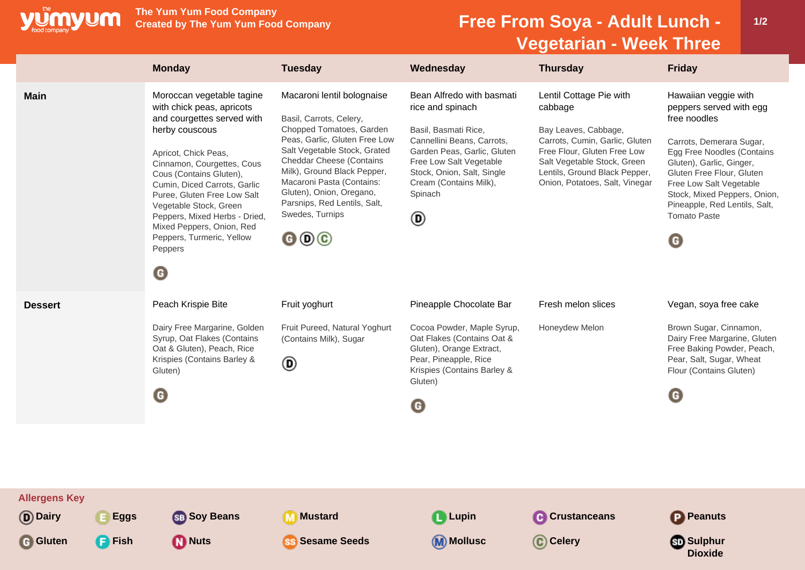

**The Yum Yum Food Company**

## **Free From Soya - Adult Lunch -Vegetarian - Week Three**

**1/2**

|                                                  | <b>Monday</b>                                                                                                                                                                                                                                                                                                                                                                               | <b>Tuesday</b>                                                                                                                                                                                                                                                                                                                                                                        | Wednesday                                                                                                                                                                                                                             | <b>Thursday</b>                                                                                                                                                                                                               | <b>Friday</b>                                                                                                                                                                                                                                                                                                        |
|--------------------------------------------------|---------------------------------------------------------------------------------------------------------------------------------------------------------------------------------------------------------------------------------------------------------------------------------------------------------------------------------------------------------------------------------------------|---------------------------------------------------------------------------------------------------------------------------------------------------------------------------------------------------------------------------------------------------------------------------------------------------------------------------------------------------------------------------------------|---------------------------------------------------------------------------------------------------------------------------------------------------------------------------------------------------------------------------------------|-------------------------------------------------------------------------------------------------------------------------------------------------------------------------------------------------------------------------------|----------------------------------------------------------------------------------------------------------------------------------------------------------------------------------------------------------------------------------------------------------------------------------------------------------------------|
| <b>Main</b>                                      | Moroccan vegetable tagine<br>with chick peas, apricots<br>and courgettes served with<br>herby couscous<br>Apricot, Chick Peas,<br>Cinnamon, Courgettes, Cous<br>Cous (Contains Gluten),<br>Cumin, Diced Carrots, Garlic<br>Puree, Gluten Free Low Salt<br>Vegetable Stock, Green<br>Peppers, Mixed Herbs - Dried,<br>Mixed Peppers, Onion, Red<br>Peppers, Turmeric, Yellow<br>Peppers<br>◉ | Macaroni lentil bolognaise<br>Basil, Carrots, Celery,<br>Chopped Tomatoes, Garden<br>Peas, Garlic, Gluten Free Low<br>Salt Vegetable Stock, Grated<br><b>Cheddar Cheese (Contains</b><br>Milk), Ground Black Pepper,<br>Macaroni Pasta (Contains:<br>Gluten), Onion, Oregano,<br>Parsnips, Red Lentils, Salt,<br>Swedes, Turnips<br>$\mathbf{\Theta} \mathbf{\Theta} \mathbf{\Theta}$ | Bean Alfredo with basmati<br>rice and spinach<br>Basil, Basmati Rice,<br>Cannellini Beans, Carrots,<br>Garden Peas, Garlic, Gluten<br>Free Low Salt Vegetable<br>Stock, Onion, Salt, Single<br>Cream (Contains Milk),<br>Spinach<br>◉ | Lentil Cottage Pie with<br>cabbage<br>Bay Leaves, Cabbage,<br>Carrots, Cumin, Garlic, Gluten<br>Free Flour, Gluten Free Low<br>Salt Vegetable Stock, Green<br>Lentils, Ground Black Pepper,<br>Onion, Potatoes, Salt, Vinegar | Hawaiian veggie with<br>peppers served with egg<br>free noodles<br>Carrots, Demerara Sugar,<br>Egg Free Noodles (Contains<br>Gluten), Garlic, Ginger,<br>Gluten Free Flour, Gluten<br>Free Low Salt Vegetable<br>Stock, Mixed Peppers, Onion,<br>Pineapple, Red Lentils, Salt,<br><b>Tomato Paste</b><br>$\mathbf G$ |
| <b>Dessert</b>                                   | Peach Krispie Bite<br>Dairy Free Margarine, Golden<br>Syrup, Oat Flakes (Contains<br>Oat & Gluten), Peach, Rice<br>Krispies (Contains Barley &<br>Gluten)<br>$\boldsymbol{\Theta}$                                                                                                                                                                                                          | Fruit yoghurt<br>Fruit Pureed, Natural Yoghurt<br>(Contains Milk), Sugar<br>◉                                                                                                                                                                                                                                                                                                         | Pineapple Chocolate Bar<br>Cocoa Powder, Maple Syrup,<br>Oat Flakes (Contains Oat &<br>Gluten), Orange Extract,<br>Pear, Pineapple, Rice<br>Krispies (Contains Barley &<br>Gluten)<br>G                                               | Fresh melon slices<br>Honeydew Melon                                                                                                                                                                                          | Vegan, soya free cake<br>Brown Sugar, Cinnamon,<br>Dairy Free Margarine, Gluten<br>Free Baking Powder, Peach,<br>Pear, Salt, Sugar, Wheat<br>Flour (Contains Gluten)<br>G                                                                                                                                            |
| <b>Allergens Key</b><br>(D) Dairy<br><b>Eggs</b> | <b>SB</b> Soy Beans                                                                                                                                                                                                                                                                                                                                                                         | <b>M</b> Mustard                                                                                                                                                                                                                                                                                                                                                                      | <b>Q</b> Lupin                                                                                                                                                                                                                        | <b>C</b> Crustanceans                                                                                                                                                                                                         | <b>P</b> Peanuts                                                                                                                                                                                                                                                                                                     |
| G Gluten<br><b>P</b> Fish                        | <b>D</b> Nuts                                                                                                                                                                                                                                                                                                                                                                               | <b>SS</b> Sesame Seeds                                                                                                                                                                                                                                                                                                                                                                | <b>M</b> Mollusc                                                                                                                                                                                                                      | C Celery                                                                                                                                                                                                                      | <b>Sulphur</b><br><b>Dioxide</b>                                                                                                                                                                                                                                                                                     |